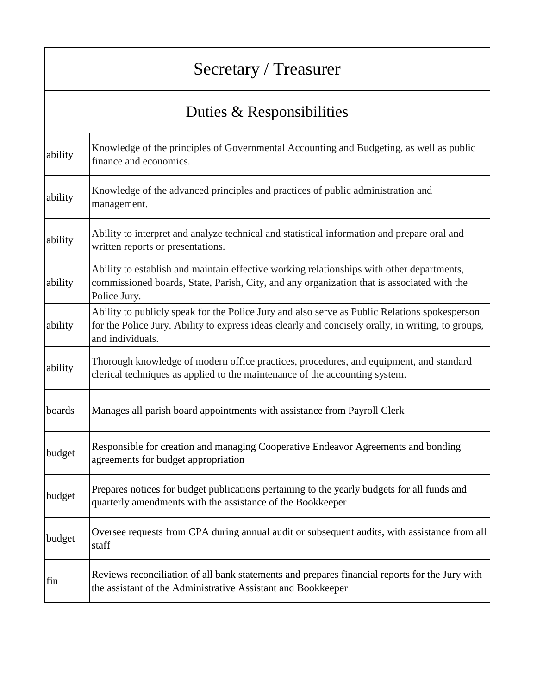## Secretary / Treasurer

## Duties & Responsibilities

| ability | Knowledge of the principles of Governmental Accounting and Budgeting, as well as public<br>finance and economics.                                                                                                       |
|---------|-------------------------------------------------------------------------------------------------------------------------------------------------------------------------------------------------------------------------|
| ability | Knowledge of the advanced principles and practices of public administration and<br>management.                                                                                                                          |
| ability | Ability to interpret and analyze technical and statistical information and prepare oral and<br>written reports or presentations.                                                                                        |
| ability | Ability to establish and maintain effective working relationships with other departments,<br>commissioned boards, State, Parish, City, and any organization that is associated with the<br>Police Jury.                 |
| ability | Ability to publicly speak for the Police Jury and also serve as Public Relations spokesperson<br>for the Police Jury. Ability to express ideas clearly and concisely orally, in writing, to groups,<br>and individuals. |
| ability | Thorough knowledge of modern office practices, procedures, and equipment, and standard<br>clerical techniques as applied to the maintenance of the accounting system.                                                   |
| boards  | Manages all parish board appointments with assistance from Payroll Clerk                                                                                                                                                |
| budget  | Responsible for creation and managing Cooperative Endeavor Agreements and bonding<br>agreements for budget appropriation                                                                                                |
| budget  | Prepares notices for budget publications pertaining to the yearly budgets for all funds and<br>quarterly amendments with the assistance of the Bookkeeper                                                               |
| budget  | Oversee requests from CPA during annual audit or subsequent audits, with assistance from all<br>staff                                                                                                                   |
| fin     | Reviews reconciliation of all bank statements and prepares financial reports for the Jury with<br>the assistant of the Administrative Assistant and Bookkeeper                                                          |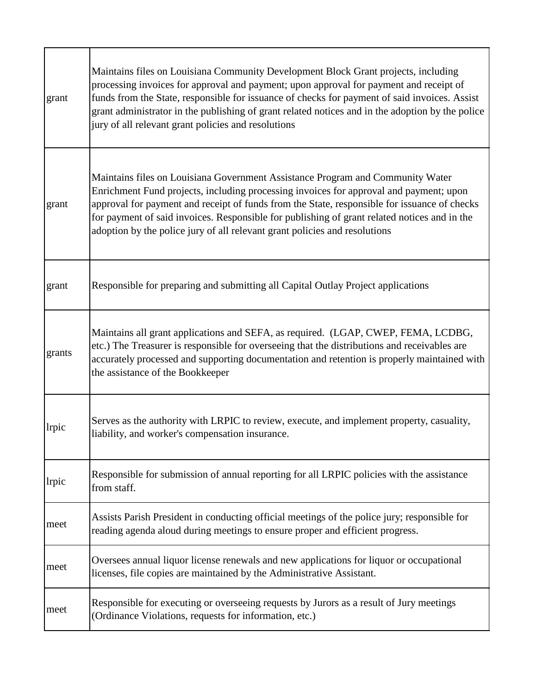| grant         | Maintains files on Louisiana Community Development Block Grant projects, including<br>processing invoices for approval and payment; upon approval for payment and receipt of<br>funds from the State, responsible for issuance of checks for payment of said invoices. Assist<br>grant administrator in the publishing of grant related notices and in the adoption by the police<br>jury of all relevant grant policies and resolutions               |
|---------------|--------------------------------------------------------------------------------------------------------------------------------------------------------------------------------------------------------------------------------------------------------------------------------------------------------------------------------------------------------------------------------------------------------------------------------------------------------|
| grant         | Maintains files on Louisiana Government Assistance Program and Community Water<br>Enrichment Fund projects, including processing invoices for approval and payment; upon<br>approval for payment and receipt of funds from the State, responsible for issuance of checks<br>for payment of said invoices. Responsible for publishing of grant related notices and in the<br>adoption by the police jury of all relevant grant policies and resolutions |
| grant         | Responsible for preparing and submitting all Capital Outlay Project applications                                                                                                                                                                                                                                                                                                                                                                       |
| grants        | Maintains all grant applications and SEFA, as required. (LGAP, CWEP, FEMA, LCDBG,<br>etc.) The Treasurer is responsible for overseeing that the distributions and receivables are<br>accurately processed and supporting documentation and retention is properly maintained with<br>the assistance of the Bookkeeper                                                                                                                                   |
| <i>l</i> rpic | Serves as the authority with LRPIC to review, execute, and implement property, casuality,<br>liability, and worker's compensation insurance.                                                                                                                                                                                                                                                                                                           |
| lrpic         | Responsible for submission of annual reporting for all LRPIC policies with the assistance<br>from staff.                                                                                                                                                                                                                                                                                                                                               |
| meet          | Assists Parish President in conducting official meetings of the police jury; responsible for<br>reading agenda aloud during meetings to ensure proper and efficient progress.                                                                                                                                                                                                                                                                          |
| meet          | Oversees annual liquor license renewals and new applications for liquor or occupational<br>licenses, file copies are maintained by the Administrative Assistant.                                                                                                                                                                                                                                                                                       |
| meet          | Responsible for executing or overseeing requests by Jurors as a result of Jury meetings<br>(Ordinance Violations, requests for information, etc.)                                                                                                                                                                                                                                                                                                      |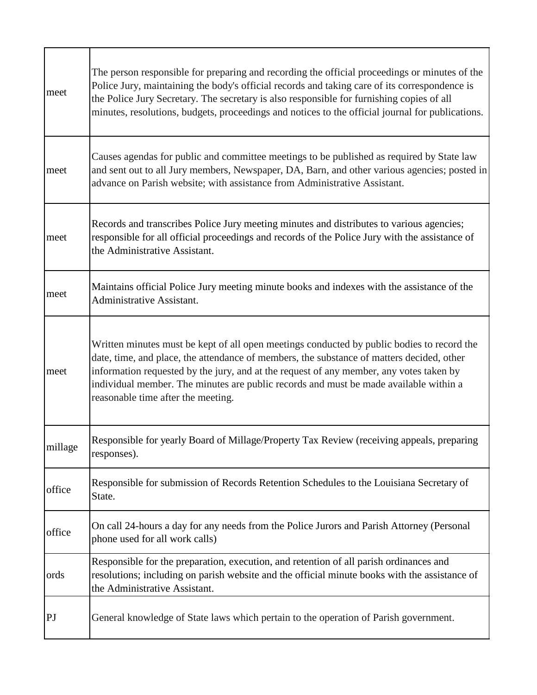| meet    | The person responsible for preparing and recording the official proceedings or minutes of the<br>Police Jury, maintaining the body's official records and taking care of its correspondence is<br>the Police Jury Secretary. The secretary is also responsible for furnishing copies of all<br>minutes, resolutions, budgets, proceedings and notices to the official journal for publications.                   |
|---------|-------------------------------------------------------------------------------------------------------------------------------------------------------------------------------------------------------------------------------------------------------------------------------------------------------------------------------------------------------------------------------------------------------------------|
| meet    | Causes agendas for public and committee meetings to be published as required by State law<br>and sent out to all Jury members, Newspaper, DA, Barn, and other various agencies; posted in<br>advance on Parish website; with assistance from Administrative Assistant.                                                                                                                                            |
| meet    | Records and transcribes Police Jury meeting minutes and distributes to various agencies;<br>responsible for all official proceedings and records of the Police Jury with the assistance of<br>the Administrative Assistant.                                                                                                                                                                                       |
| meet    | Maintains official Police Jury meeting minute books and indexes with the assistance of the<br>Administrative Assistant.                                                                                                                                                                                                                                                                                           |
| meet    | Written minutes must be kept of all open meetings conducted by public bodies to record the<br>date, time, and place, the attendance of members, the substance of matters decided, other<br>information requested by the jury, and at the request of any member, any votes taken by<br>individual member. The minutes are public records and must be made available within a<br>reasonable time after the meeting. |
| millage | Responsible for yearly Board of Millage/Property Tax Review (receiving appeals, preparing<br>responses).                                                                                                                                                                                                                                                                                                          |
| office  | Responsible for submission of Records Retention Schedules to the Louisiana Secretary of<br>State.                                                                                                                                                                                                                                                                                                                 |
| office  | On call 24-hours a day for any needs from the Police Jurors and Parish Attorney (Personal<br>phone used for all work calls)                                                                                                                                                                                                                                                                                       |
| ords    | Responsible for the preparation, execution, and retention of all parish ordinances and<br>resolutions; including on parish website and the official minute books with the assistance of<br>the Administrative Assistant.                                                                                                                                                                                          |
| PJ      | General knowledge of State laws which pertain to the operation of Parish government.                                                                                                                                                                                                                                                                                                                              |

Г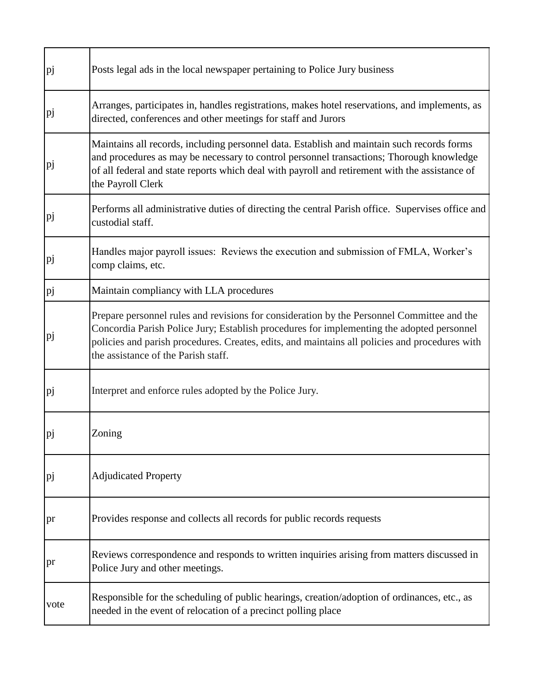| pj   | Posts legal ads in the local newspaper pertaining to Police Jury business                                                                                                                                                                                                                                                        |
|------|----------------------------------------------------------------------------------------------------------------------------------------------------------------------------------------------------------------------------------------------------------------------------------------------------------------------------------|
| pj   | Arranges, participates in, handles registrations, makes hotel reservations, and implements, as<br>directed, conferences and other meetings for staff and Jurors                                                                                                                                                                  |
| pj   | Maintains all records, including personnel data. Establish and maintain such records forms<br>and procedures as may be necessary to control personnel transactions; Thorough knowledge<br>of all federal and state reports which deal with payroll and retirement with the assistance of<br>the Payroll Clerk                    |
| pj   | Performs all administrative duties of directing the central Parish office. Supervises office and<br>custodial staff.                                                                                                                                                                                                             |
| pj   | Handles major payroll issues: Reviews the execution and submission of FMLA, Worker's<br>comp claims, etc.                                                                                                                                                                                                                        |
| pj   | Maintain compliancy with LLA procedures                                                                                                                                                                                                                                                                                          |
| pj   | Prepare personnel rules and revisions for consideration by the Personnel Committee and the<br>Concordia Parish Police Jury; Establish procedures for implementing the adopted personnel<br>policies and parish procedures. Creates, edits, and maintains all policies and procedures with<br>the assistance of the Parish staff. |
| pj   | Interpret and enforce rules adopted by the Police Jury.                                                                                                                                                                                                                                                                          |
| p    | Zoning                                                                                                                                                                                                                                                                                                                           |
| p    | <b>Adjudicated Property</b>                                                                                                                                                                                                                                                                                                      |
| pr   | Provides response and collects all records for public records requests                                                                                                                                                                                                                                                           |
| pr   | Reviews correspondence and responds to written inquiries arising from matters discussed in<br>Police Jury and other meetings.                                                                                                                                                                                                    |
| vote | Responsible for the scheduling of public hearings, creation/adoption of ordinances, etc., as<br>needed in the event of relocation of a precinct polling place                                                                                                                                                                    |